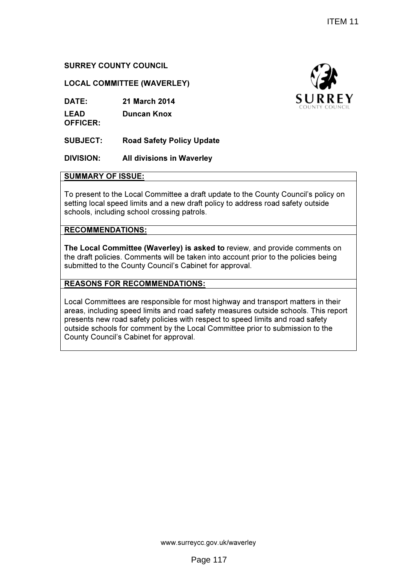# SURREY COUNTY COUNCIL

## LOCAL COMMITTEE (WAVERLEY)

DATE: 21 March 2014

LEAD OFFICER: Duncan Knox

SUBJECT: Road Safety Policy Update

# DIVISION: All divisions in Waverley

#### SUMMARY OF ISSUE:

To present to the Local Committee a draft update to the County Council's policy on setting local speed limits and a new draft policy to address road safety outside schools, including school crossing patrols.

# RECOMMENDATIONS:

The Local Committee (Waverley) is asked to review, and provide comments on the draft policies. Comments will be taken into account prior to the policies being submitted to the County Council's Cabinet for approval.

# REASONS FOR RECOMMENDATIONS:

Local Committees are responsible for most highway and transport matters in their areas, including speed limits and road safety measures outside schools. This report presents new road safety policies with respect to speed limits and road safety outside schools for comment by the Local Committee prior to submission to the County Council's Cabinet for approval.

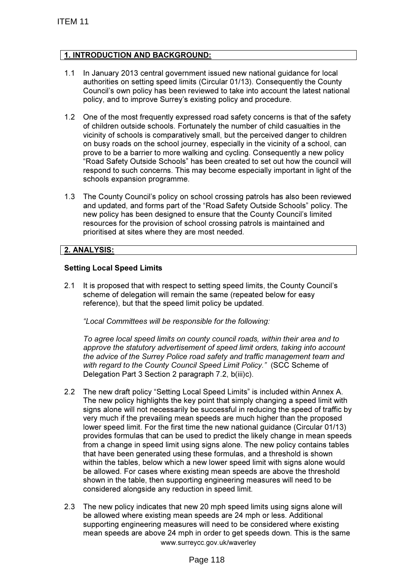# 1. INTRODUCTION AND BACKGROUND:

- 1.1 In January 2013 central government issued new national guidance for local authorities on setting speed limits (Circular 01/13). Consequently the County Council's own policy has been reviewed to take into account the latest national policy, and to improve Surrey's existing policy and procedure.
- 1.2 One of the most frequently expressed road safety concerns is that of the safety of children outside schools. Fortunately the number of child casualties in the vicinity of schools is comparatively small, but the perceived danger to children on busy roads on the school journey, especially in the vicinity of a school, can prove to be a barrier to more walking and cycling. Consequently a new policy "Road Safety Outside Schools" has been created to set out how the council will respond to such concerns. This may become especially important in light of the schools expansion programme.
- 1.3 The County Council's policy on school crossing patrols has also been reviewed and updated, and forms part of the "Road Safety Outside Schools" policy. The new policy has been designed to ensure that the County Council's limited resources for the provision of school crossing patrols is maintained and prioritised at sites where they are most needed.

#### 2. ANALYSIS:

#### Setting Local Speed Limits

2.1 It is proposed that with respect to setting speed limits, the County Council's scheme of delegation will remain the same (repeated below for easy reference), but that the speed limit policy be updated.

"Local Committees will be responsible for the following:

To agree local speed limits on county council roads, within their area and to approve the statutory advertisement of speed limit orders, taking into account the advice of the Surrey Police road safety and traffic management team and with regard to the County Council Speed Limit Policy." (SCC Scheme of Delegation Part 3 Section 2 paragraph 7.2, b(iii)c).

- 2.2 The new draft policy "Setting Local Speed Limits" is included within Annex A. The new policy highlights the key point that simply changing a speed limit with signs alone will not necessarily be successful in reducing the speed of traffic by very much if the prevailing mean speeds are much higher than the proposed lower speed limit. For the first time the new national guidance (Circular 01/13) provides formulas that can be used to predict the likely change in mean speeds from a change in speed limit using signs alone. The new policy contains tables that have been generated using these formulas, and a threshold is shown within the tables, below which a new lower speed limit with signs alone would be allowed. For cases where existing mean speeds are above the threshold shown in the table, then supporting engineering measures will need to be considered alongside any reduction in speed limit.
- www.surreycc.gov.uk/waverley 2.3 The new policy indicates that new 20 mph speed limits using signs alone will be allowed where existing mean speeds are 24 mph or less. Additional supporting engineering measures will need to be considered where existing mean speeds are above 24 mph in order to get speeds down. This is the same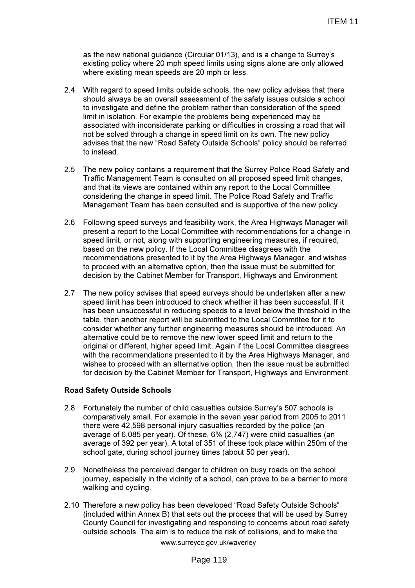as the new national guidance (Circular 01/13), and is a change to Surrey's existing policy where 20 mph speed limits using signs alone are only allowed where existing mean speeds are 20 mph or less.

- 2.4 With regard to speed limits outside schools, the new policy advises that there should always be an overall assessment of the safety issues outside a school to investigate and define the problem rather than consideration of the speed limit in isolation. For example the problems being experienced may be associated with inconsiderate parking or difficulties in crossing a road that will not be solved through a change in speed limit on its own. The new policy advises that the new "Road Safety Outside Schools" policy should be referred to instead.
- 2.5 The new policy contains a requirement that the Surrey Police Road Safety and Traffic Management Team is consulted on all proposed speed limit changes, and that its views are contained within any report to the Local Committee considering the change in speed limit. The Police Road Safety and Traffic Management Team has been consulted and is supportive of the new policy.
- 2.6 Following speed surveys and feasibility work, the Area Highways Manager will present a report to the Local Committee with recommendations for a change in speed limit, or not, along with supporting engineering measures, if required, based on the new policy. If the Local Committee disagrees with the recommendations presented to it by the Area Highways Manager, and wishes to proceed with an alternative option, then the issue must be submitted for decision by the Cabinet Member for Transport, Highways and Environment.
- 2.7 The new policy advises that speed surveys should be undertaken after a new speed limit has been introduced to check whether it has been successful. If it has been unsuccessful in reducing speeds to a level below the threshold in the table, then another report will be submitted to the Local Committee for it to consider whether any further engineering measures should be introduced. An alternative could be to remove the new lower speed limit and return to the original or different, higher speed limit. Again if the Local Committee disagrees with the recommendations presented to it by the Area Highways Manager, and wishes to proceed with an alternative option, then the issue must be submitted for decision by the Cabinet Member for Transport, Highways and Environment.

#### Road Safety Outside Schools

- 2.8 Fortunately the number of child casualties outside Surrey's 507 schools is comparatively small. For example in the seven year period from 2005 to 2011 there were 42,598 personal injury casualties recorded by the police (an average of 6,085 per year). Of these, 6% (2,747) were child casualties (an average of 392 per year). A total of 351 of these took place within 250m of the school gate, during school journey times (about 50 per year).
- 2.9 Nonetheless the perceived danger to children on busy roads on the school journey, especially in the vicinity of a school, can prove to be a barrier to more walking and cycling.
- www.surreycc.gov.uk/waverley 2.10 Therefore a new policy has been developed "Road Safety Outside Schools" (included within Annex B) that sets out the process that will be used by Surrey County Council for investigating and responding to concerns about road safety outside schools. The aim is to reduce the risk of collisions, and to make the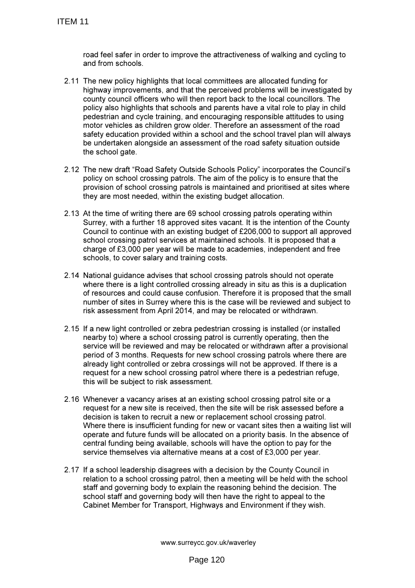road feel safer in order to improve the attractiveness of walking and cycling to and from schools.

- 2.11 The new policy highlights that local committees are allocated funding for highway improvements, and that the perceived problems will be investigated by county council officers who will then report back to the local councillors. The policy also highlights that schools and parents have a vital role to play in child pedestrian and cycle training, and encouraging responsible attitudes to using motor vehicles as children grow older. Therefore an assessment of the road safety education provided within a school and the school travel plan will always be undertaken alongside an assessment of the road safety situation outside the school gate.
- 2.12 The new draft "Road Safety Outside Schools Policy" incorporates the Council's policy on school crossing patrols. The aim of the policy is to ensure that the provision of school crossing patrols is maintained and prioritised at sites where they are most needed, within the existing budget allocation.
- 2.13 At the time of writing there are 69 school crossing patrols operating within Surrey, with a further 18 approved sites vacant. It is the intention of the County Council to continue with an existing budget of £206,000 to support all approved school crossing patrol services at maintained schools. It is proposed that a charge of £3,000 per year will be made to academies, independent and free schools, to cover salary and training costs.
- 2.14 National guidance advises that school crossing patrols should not operate where there is a light controlled crossing already in situ as this is a duplication of resources and could cause confusion. Therefore it is proposed that the small number of sites in Surrey where this is the case will be reviewed and subject to risk assessment from April 2014, and may be relocated or withdrawn.
- 2.15 If a new light controlled or zebra pedestrian crossing is installed (or installed nearby to) where a school crossing patrol is currently operating, then the service will be reviewed and may be relocated or withdrawn after a provisional period of 3 months. Requests for new school crossing patrols where there are already light controlled or zebra crossings will not be approved. If there is a request for a new school crossing patrol where there is a pedestrian refuge, this will be subject to risk assessment.
- 2.16 Whenever a vacancy arises at an existing school crossing patrol site or a request for a new site is received, then the site will be risk assessed before a decision is taken to recruit a new or replacement school crossing patrol. Where there is insufficient funding for new or vacant sites then a waiting list will operate and future funds will be allocated on a priority basis. In the absence of central funding being available, schools will have the option to pay for the service themselves via alternative means at a cost of £3,000 per year.
- 2.17 If a school leadership disagrees with a decision by the County Council in relation to a school crossing patrol, then a meeting will be held with the school staff and governing body to explain the reasoning behind the decision. The school staff and governing body will then have the right to appeal to the Cabinet Member for Transport, Highways and Environment if they wish.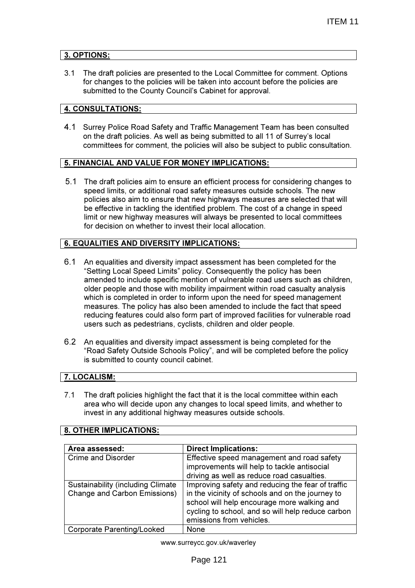# 3. OPTIONS:

3.1 The draft policies are presented to the Local Committee for comment. Options for changes to the policies will be taken into account before the policies are submitted to the County Council's Cabinet for approval.

# 4. CONSULTATIONS:

4.1 Surrey Police Road Safety and Traffic Management Team has been consulted on the draft policies. As well as being submitted to all 11 of Surrey's local committees for comment, the policies will also be subject to public consultation.

# 5. FINANCIAL AND VALUE FOR MONEY IMPLICATIONS:

5.1 The draft policies aim to ensure an efficient process for considering changes to speed limits, or additional road safety measures outside schools. The new policies also aim to ensure that new highways measures are selected that will be effective in tackling the identified problem. The cost of a change in speed limit or new highway measures will always be presented to local committees for decision on whether to invest their local allocation.

# 6. EQUALITIES AND DIVERSITY IMPLICATIONS:

- 6.1 An equalities and diversity impact assessment has been completed for the "Setting Local Speed Limits" policy. Consequently the policy has been amended to include specific mention of vulnerable road users such as children, older people and those with mobility impairment within road casualty analysis which is completed in order to inform upon the need for speed management measures. The policy has also been amended to include the fact that speed reducing features could also form part of improved facilities for vulnerable road users such as pedestrians, cyclists, children and older people.
- 6.2 An equalities and diversity impact assessment is being completed for the "Road Safety Outside Schools Policy", and will be completed before the policy is submitted to county council cabinet.

# 7. LOCALISM:

7.1 The draft policies highlight the fact that it is the local committee within each area who will decide upon any changes to local speed limits, and whether to invest in any additional highway measures outside schools.

#### 8. OTHER IMPLICATIONS:

| Area assessed:                            | <b>Direct Implications:</b>                       |
|-------------------------------------------|---------------------------------------------------|
| <b>Crime and Disorder</b>                 | Effective speed management and road safety        |
|                                           | improvements will help to tackle antisocial       |
|                                           | driving as well as reduce road casualties.        |
| <b>Sustainability (including Climate)</b> | Improving safety and reducing the fear of traffic |
| <b>Change and Carbon Emissions)</b>       | in the vicinity of schools and on the journey to  |
|                                           | school will help encourage more walking and       |
|                                           | cycling to school, and so will help reduce carbon |
|                                           | emissions from vehicles.                          |
| <b>Corporate Parenting/Looked</b>         | None                                              |

www.surreycc.gov.uk/waverley